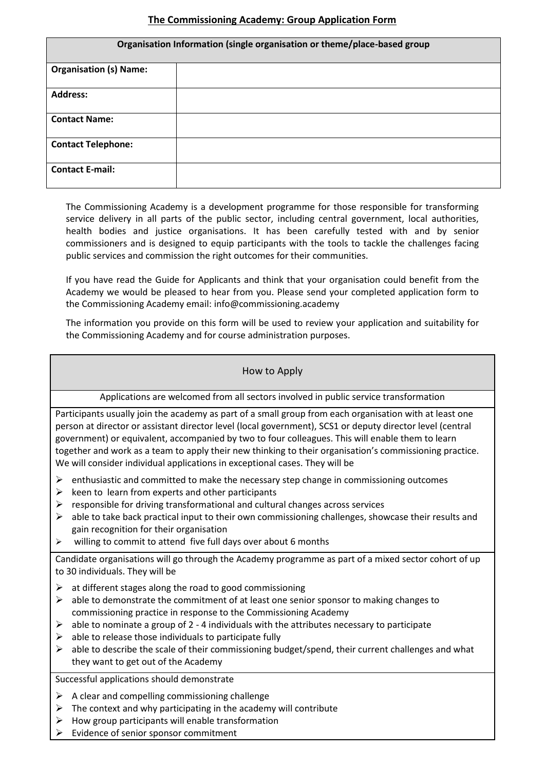## **The Commissioning Academy: Group Application Form**

| Organisation Information (single organisation or theme/place-based group |  |  |
|--------------------------------------------------------------------------|--|--|
| <b>Organisation (s) Name:</b>                                            |  |  |
| <b>Address:</b>                                                          |  |  |
| <b>Contact Name:</b>                                                     |  |  |
| <b>Contact Telephone:</b>                                                |  |  |
| <b>Contact E-mail:</b>                                                   |  |  |

The Commissioning Academy is a development programme for those responsible for transforming service delivery in all parts of the public sector, including central government, local authorities, health bodies and justice organisations. It has been carefully tested with and by senior commissioners and is designed to equip participants with the tools to tackle the challenges facing public services and commission the right outcomes for their communities.

If you have read the Guide for Applicants and think that your organisation could benefit from the Academy we would be pleased to hear from you. Please send your completed application form to the Commissioning Academy email: info@commissioning.academy

The information you provide on this form will be used to review your application and suitability for the Commissioning Academy and for course administration purposes.

### How to Apply

Applications are welcomed from all sectors involved in public service transformation

Participants usually join the academy as part of a small group from each organisation with at least one person at director or assistant director level (local government), SCS1 or deputy director level (central government) or equivalent, accompanied by two to four colleagues. This will enable them to learn together and work as a team to apply their new thinking to their organisation's commissioning practice. We will consider individual applications in exceptional cases. They will be

- $\triangleright$  enthusiastic and committed to make the necessary step change in commissioning outcomes
- $\triangleright$  keen to learn from experts and other participants
- $\triangleright$  responsible for driving transformational and cultural changes across services
- $\triangleright$  able to take back practical input to their own commissioning challenges, showcase their results and gain recognition for their organisation
- $\triangleright$  willing to commit to attend five full days over about 6 months

Candidate organisations will go through the Academy programme as part of a mixed sector cohort of up to 30 individuals. They will be

- $\triangleright$  at different stages along the road to good commissioning
- $\triangleright$  able to demonstrate the commitment of at least one senior sponsor to making changes to commissioning practice in response to the Commissioning Academy
- $\triangleright$  able to nominate a group of 2 4 individuals with the attributes necessary to participate
- $\triangleright$  able to release those individuals to participate fully
- $\triangleright$  able to describe the scale of their commissioning budget/spend, their current challenges and what they want to get out of the Academy

Successful applications should demonstrate

- $\triangleright$  A clear and compelling commissioning challenge
- $\triangleright$  The context and why participating in the academy will contribute
- $\triangleright$  How group participants will enable transformation
- Evidence of senior sponsor commitment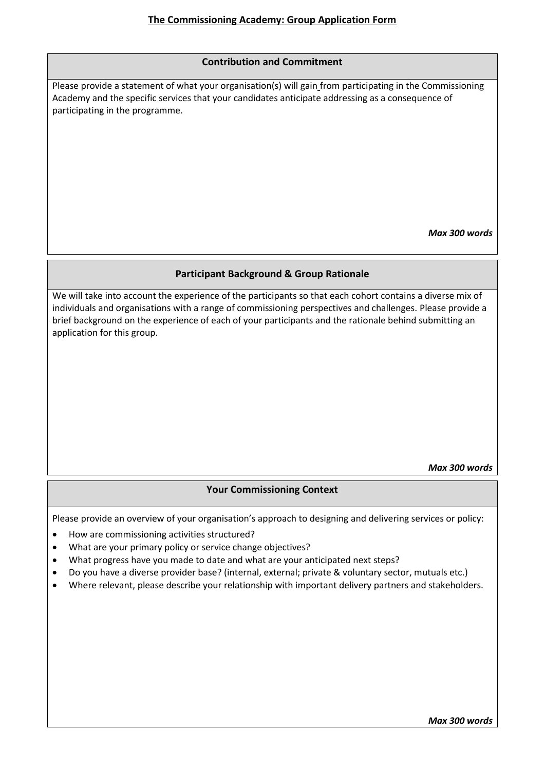#### **Contribution and Commitment**

Please provide a statement of what your organisation(s) will gain from participating in the Commissioning Academy and the specific services that your candidates anticipate addressing as a consequence of participating in the programme.

*Max 300 words*

### **Participant Background & Group Rationale**

We will take into account the experience of the participants so that each cohort contains a diverse mix of individuals and organisations with a range of commissioning perspectives and challenges. Please provide a brief background on the experience of each of your participants and the rationale behind submitting an application for this group.

*Max 300 words*

## **Your Commissioning Context**

Please provide an overview of your organisation's approach to designing and delivering services or policy:

- How are commissioning activities structured?
- What are your primary policy or service change objectives?
- What progress have you made to date and what are your anticipated next steps?
- Do you have a diverse provider base? (internal, external; private & voluntary sector, mutuals etc.)
- Where relevant, please describe your relationship with important delivery partners and stakeholders.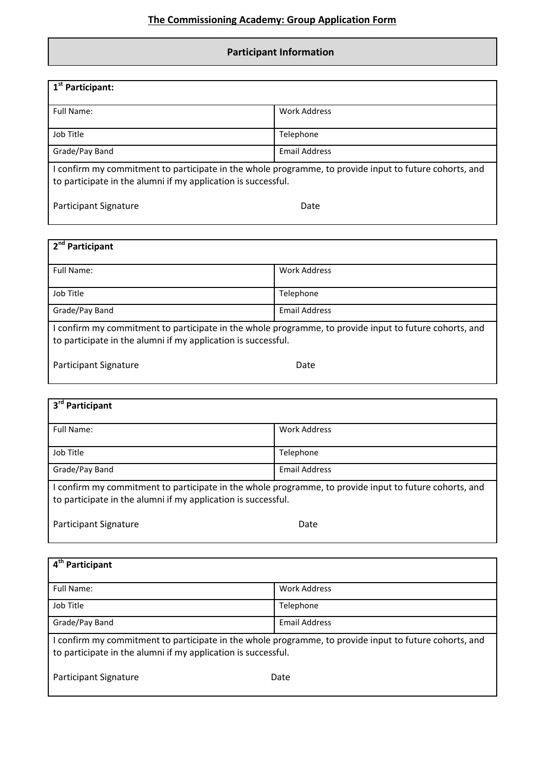# **Participant Information**

| 1 <sup>st</sup> Participant:                                                                                                                                            |                      |  |  |  |
|-------------------------------------------------------------------------------------------------------------------------------------------------------------------------|----------------------|--|--|--|
| Full Name:                                                                                                                                                              | Work Address         |  |  |  |
| Job Title                                                                                                                                                               | Telephone            |  |  |  |
| Grade/Pay Band                                                                                                                                                          | <b>Email Address</b> |  |  |  |
| I confirm my commitment to participate in the whole programme, to provide input to future cohorts, and<br>to participate in the alumni if my application is successful. |                      |  |  |  |
| Participant Signature                                                                                                                                                   | Date                 |  |  |  |

| 2 <sup>nd</sup> Participant                                                                                                                                           |                      |  |  |  |
|-----------------------------------------------------------------------------------------------------------------------------------------------------------------------|----------------------|--|--|--|
| Full Name:                                                                                                                                                            | <b>Work Address</b>  |  |  |  |
| Job Title                                                                                                                                                             | Telephone            |  |  |  |
| Grade/Pay Band                                                                                                                                                        | <b>Email Address</b> |  |  |  |
| confirm my commitment to participate in the whole programme, to provide input to future cohorts, and<br>to participate in the alumni if my application is successful. |                      |  |  |  |
| Participant Signature                                                                                                                                                 | Date                 |  |  |  |

| 3 <sup>rd</sup> Participant                                                                                                                                             |                      |  |
|-------------------------------------------------------------------------------------------------------------------------------------------------------------------------|----------------------|--|
| Full Name:                                                                                                                                                              | Work Address         |  |
| Job Title                                                                                                                                                               | Telephone            |  |
| Grade/Pay Band                                                                                                                                                          | <b>Email Address</b> |  |
| I confirm my commitment to participate in the whole programme, to provide input to future cohorts, and<br>to participate in the alumni if my application is successful. |                      |  |

| Participant Signature | Date |
|-----------------------|------|
|                       |      |

| 4 <sup>th</sup> Participant                                                                                                                                             |                      |  |  |  |
|-------------------------------------------------------------------------------------------------------------------------------------------------------------------------|----------------------|--|--|--|
| Full Name:                                                                                                                                                              | Work Address         |  |  |  |
| Job Title                                                                                                                                                               | Telephone            |  |  |  |
| Grade/Pay Band                                                                                                                                                          | <b>Email Address</b> |  |  |  |
| I confirm my commitment to participate in the whole programme, to provide input to future cohorts, and<br>to participate in the alumni if my application is successful. |                      |  |  |  |
| Participant Signature                                                                                                                                                   | Date                 |  |  |  |